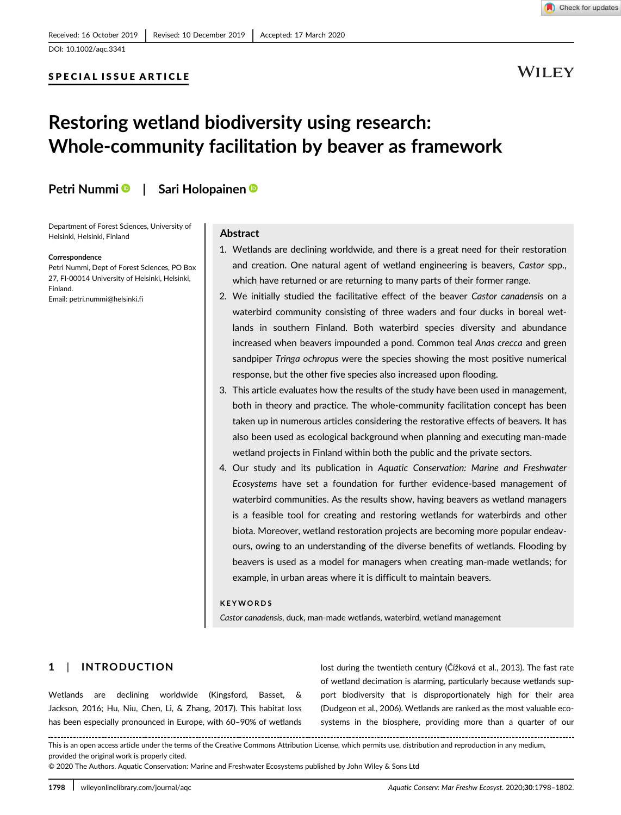Check for updates

# SPECIAL ISSUE ARTICLE

# **WILEY**

# Restoring wetland biodiversity using research: Whole-community facilitation by beaver as framework

Petri Nummi | Sari Holopainen |

Department of Forest Sciences, University of Helsinki, Helsinki, Finland

#### Correspondence

Petri Nummi, Dept of Forest Sciences, PO Box 27, FI-00014 University of Helsinki, Helsinki, Finland. Email: [petri.nummi@helsinki.fi](mailto:petri.nummi@helsinki.fi)

# Abstract

- 1. Wetlands are declining worldwide, and there is a great need for their restoration and creation. One natural agent of wetland engineering is beavers, Castor spp., which have returned or are returning to many parts of their former range.
- 2. We initially studied the facilitative effect of the beaver Castor canadensis on a waterbird community consisting of three waders and four ducks in boreal wetlands in southern Finland. Both waterbird species diversity and abundance increased when beavers impounded a pond. Common teal Anas crecca and green sandpiper Tringa ochropus were the species showing the most positive numerical response, but the other five species also increased upon flooding.
- 3. This article evaluates how the results of the study have been used in management, both in theory and practice. The whole-community facilitation concept has been taken up in numerous articles considering the restorative effects of beavers. It has also been used as ecological background when planning and executing man-made wetland projects in Finland within both the public and the private sectors.
- 4. Our study and its publication in Aquatic Conservation: Marine and Freshwater Ecosystems have set a foundation for further evidence-based management of waterbird communities. As the results show, having beavers as wetland managers is a feasible tool for creating and restoring wetlands for waterbirds and other biota. Moreover, wetland restoration projects are becoming more popular endeavours, owing to an understanding of the diverse benefits of wetlands. Flooding by beavers is used as a model for managers when creating man-made wetlands; for example, in urban areas where it is difficult to maintain beavers.

### KEYWORDS

Castor canadensis, duck, man-made wetlands, waterbird, wetland management

# 1 | INTRODUCTION

Wetlands are declining worldwide (Kingsford, Basset, & Jackson, 2016; Hu, Niu, Chen, Li, & Zhang, 2017). This habitat loss has been especially pronounced in Europe, with 60–90% of wetlands lost during the twentieth century (Čížková et al., 2013). The fast rate of wetland decimation is alarming, particularly because wetlands support biodiversity that is disproportionately high for their area (Dudgeon et al., 2006). Wetlands are ranked as the most valuable ecosystems in the biosphere, providing more than a quarter of our

This is an open access article under the terms of the [Creative Commons Attribution](http://creativecommons.org/licenses/by/4.0/) License, which permits use, distribution and reproduction in any medium, provided the original work is properly cited.

© 2020 The Authors. Aquatic Conservation: Marine and Freshwater Ecosystems published by John Wiley & Sons Ltd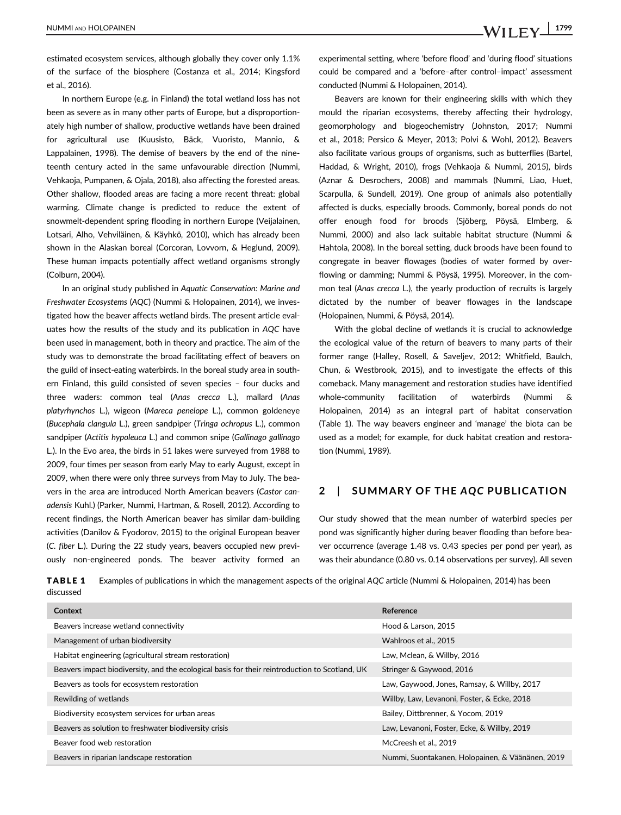estimated ecosystem services, although globally they cover only 1.1% of the surface of the biosphere (Costanza et al., 2014; Kingsford et al., 2016).

In northern Europe (e.g. in Finland) the total wetland loss has not been as severe as in many other parts of Europe, but a disproportionately high number of shallow, productive wetlands have been drained for agricultural use (Kuusisto, Bäck, Vuoristo, Mannio, & Lappalainen, 1998). The demise of beavers by the end of the nineteenth century acted in the same unfavourable direction (Nummi, Vehkaoja, Pumpanen, & Ojala, 2018), also affecting the forested areas. Other shallow, flooded areas are facing a more recent threat: global warming. Climate change is predicted to reduce the extent of snowmelt-dependent spring flooding in northern Europe (Veijalainen, Lotsari, Alho, Vehviläinen, & Käyhkö, 2010), which has already been shown in the Alaskan boreal (Corcoran, Lovvorn, & Heglund, 2009). These human impacts potentially affect wetland organisms strongly (Colburn, 2004).

In an original study published in Aquatic Conservation: Marine and Freshwater Ecosystems (AQC) (Nummi & Holopainen, 2014), we investigated how the beaver affects wetland birds. The present article evaluates how the results of the study and its publication in AQC have been used in management, both in theory and practice. The aim of the study was to demonstrate the broad facilitating effect of beavers on the guild of insect-eating waterbirds. In the boreal study area in southern Finland, this guild consisted of seven species – four ducks and three waders: common teal (Anas crecca L.), mallard (Anas platyrhynchos L.), wigeon (Mareca penelope L.), common goldeneye (Bucephala clangula L.), green sandpiper (Tringa ochropus L.), common sandpiper (Actitis hypoleuca L.) and common snipe (Gallinago gallinago L.). In the Evo area, the birds in 51 lakes were surveyed from 1988 to 2009, four times per season from early May to early August, except in 2009, when there were only three surveys from May to July. The beavers in the area are introduced North American beavers (Castor canadensis Kuhl.) (Parker, Nummi, Hartman, & Rosell, 2012). According to recent findings, the North American beaver has similar dam-building activities (Danilov & Fyodorov, 2015) to the original European beaver (C. fiber L.). During the 22 study years, beavers occupied new previously non-engineered ponds. The beaver activity formed an

experimental setting, where 'before flood' and 'during flood' situations could be compared and a 'before–after control–impact' assessment conducted (Nummi & Holopainen, 2014).

Beavers are known for their engineering skills with which they mould the riparian ecosystems, thereby affecting their hydrology, geomorphology and biogeochemistry (Johnston, 2017; Nummi et al., 2018; Persico & Meyer, 2013; Polvi & Wohl, 2012). Beavers also facilitate various groups of organisms, such as butterflies (Bartel, Haddad, & Wright, 2010), frogs (Vehkaoja & Nummi, 2015), birds (Aznar & Desrochers, 2008) and mammals (Nummi, Liao, Huet, Scarpulla, & Sundell, 2019). One group of animals also potentially affected is ducks, especially broods. Commonly, boreal ponds do not offer enough food for broods (Sjöberg, Pöysä, Elmberg, & Nummi, 2000) and also lack suitable habitat structure (Nummi & Hahtola, 2008). In the boreal setting, duck broods have been found to congregate in beaver flowages (bodies of water formed by overflowing or damming; Nummi & Pöysä, 1995). Moreover, in the common teal (Anas crecca L.), the yearly production of recruits is largely dictated by the number of beaver flowages in the landscape (Holopainen, Nummi, & Pöysä, 2014).

With the global decline of wetlands it is crucial to acknowledge the ecological value of the return of beavers to many parts of their former range (Halley, Rosell, & Saveljev, 2012; Whitfield, Baulch, Chun, & Westbrook, 2015), and to investigate the effects of this comeback. Many management and restoration studies have identified whole-community facilitation of waterbirds (Nummi & Holopainen, 2014) as an integral part of habitat conservation (Table 1). The way beavers engineer and 'manage' the biota can be used as a model; for example, for duck habitat creation and restoration (Nummi, 1989).

# 2 | SUMMARY OF THE AQC PUBLICATION

Our study showed that the mean number of waterbird species per pond was significantly higher during beaver flooding than before beaver occurrence (average 1.48 vs. 0.43 species per pond per year), as was their abundance (0.80 vs. 0.14 observations per survey). All seven

TABLE 1 Examples of publications in which the management aspects of the original AQC article (Nummi & Holopainen, 2014) has been discussed

| Context                                                                                        | Reference                                        |
|------------------------------------------------------------------------------------------------|--------------------------------------------------|
| Beavers increase wetland connectivity                                                          | Hood & Larson, 2015                              |
| Management of urban biodiversity                                                               | Wahlroos et al., 2015                            |
| Habitat engineering (agricultural stream restoration)                                          | Law, Mclean, & Willby, 2016                      |
| Beavers impact biodiversity, and the ecological basis for their reintroduction to Scotland, UK | Stringer & Gaywood, 2016                         |
| Beavers as tools for ecosystem restoration                                                     | Law, Gaywood, Jones, Ramsay, & Willby, 2017      |
| Rewilding of wetlands                                                                          | Willby, Law, Levanoni, Foster, & Ecke, 2018      |
| Biodiversity ecosystem services for urban areas                                                | Bailey, Dittbrenner, & Yocom, 2019               |
| Beavers as solution to freshwater biodiversity crisis                                          | Law, Levanoni, Foster, Ecke, & Willby, 2019      |
| Beaver food web restoration                                                                    | McCreesh et al., 2019                            |
| Beavers in riparian landscape restoration                                                      | Nummi, Suontakanen, Holopainen, & Väänänen, 2019 |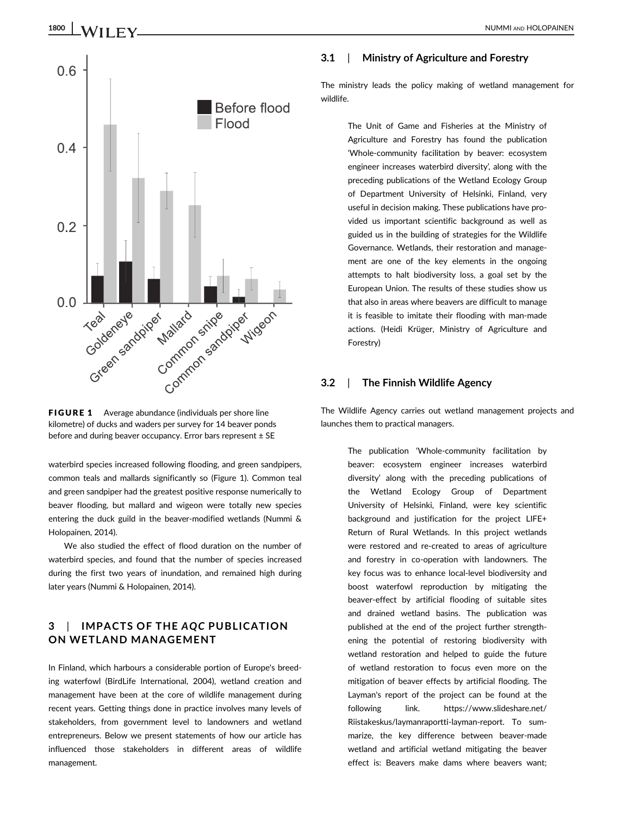

FIGURE 1 Average abundance (individuals per shore line kilometre) of ducks and waders per survey for 14 beaver ponds before and during beaver occupancy. Error bars represent ± SE

waterbird species increased following flooding, and green sandpipers, common teals and mallards significantly so (Figure 1). Common teal and green sandpiper had the greatest positive response numerically to beaver flooding, but mallard and wigeon were totally new species entering the duck guild in the beaver-modified wetlands (Nummi & Holopainen, 2014).

We also studied the effect of flood duration on the number of waterbird species, and found that the number of species increased during the first two years of inundation, and remained high during later years (Nummi & Holopainen, 2014).

# 3 | IMPACTS OF THE AQC PUBLICATION ON WETLAND MANAGEMENT

In Finland, which harbours a considerable portion of Europe's breeding waterfowl (BirdLife International, 2004), wetland creation and management have been at the core of wildlife management during recent years. Getting things done in practice involves many levels of stakeholders, from government level to landowners and wetland entrepreneurs. Below we present statements of how our article has influenced those stakeholders in different areas of wildlife management.

# 3.1 | Ministry of Agriculture and Forestry

The ministry leads the policy making of wetland management for wildlife.

> The Unit of Game and Fisheries at the Ministry of Agriculture and Forestry has found the publication 'Whole-community facilitation by beaver: ecosystem engineer increases waterbird diversity', along with the preceding publications of the Wetland Ecology Group of Department University of Helsinki, Finland, very useful in decision making. These publications have provided us important scientific background as well as guided us in the building of strategies for the Wildlife Governance. Wetlands, their restoration and management are one of the key elements in the ongoing attempts to halt biodiversity loss, a goal set by the European Union. The results of these studies show us that also in areas where beavers are difficult to manage it is feasible to imitate their flooding with man-made actions. (Heidi Krüger, Ministry of Agriculture and Forestry)

# 3.2 | The Finnish Wildlife Agency

The Wildlife Agency carries out wetland management projects and launches them to practical managers.

> The publication 'Whole-community facilitation by beaver: ecosystem engineer increases waterbird diversity' along with the preceding publications of the Wetland Ecology Group of Department University of Helsinki, Finland, were key scientific background and justification for the project LIFE+ Return of Rural Wetlands. In this project wetlands were restored and re-created to areas of agriculture and forestry in co-operation with landowners. The key focus was to enhance local-level biodiversity and boost waterfowl reproduction by mitigating the beaver-effect by artificial flooding of suitable sites and drained wetland basins. The publication was published at the end of the project further strengthening the potential of restoring biodiversity with wetland restoration and helped to guide the future of wetland restoration to focus even more on the mitigation of beaver effects by artificial flooding. The Layman's report of the project can be found at the following link. [https://www.slideshare.net/](https://www.slideshare.net/Riistakeskus/laymanraportti-layman-report) [Riistakeskus/laymanraportti-layman-report](https://www.slideshare.net/Riistakeskus/laymanraportti-layman-report). To summarize, the key difference between beaver-made wetland and artificial wetland mitigating the beaver effect is: Beavers make dams where beavers want;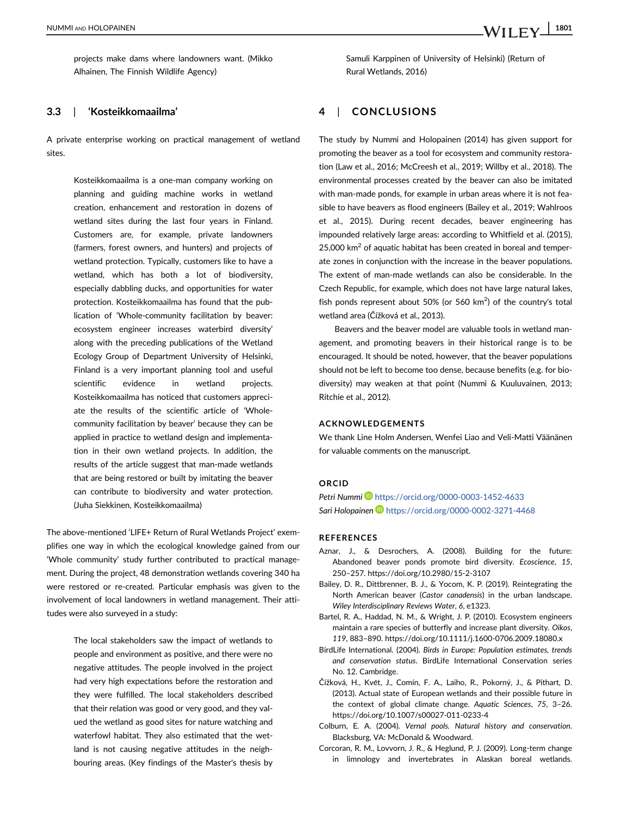## 3.3 | 'Kosteikkomaailma'

Alhainen, The Finnish Wildlife Agency)

A private enterprise working on practical management of wetland sites.

> Kosteikkomaailma is a one-man company working on planning and guiding machine works in wetland creation, enhancement and restoration in dozens of wetland sites during the last four years in Finland. Customers are, for example, private landowners (farmers, forest owners, and hunters) and projects of wetland protection. Typically, customers like to have a wetland, which has both a lot of biodiversity, especially dabbling ducks, and opportunities for water protection. Kosteikkomaailma has found that the publication of 'Whole-community facilitation by beaver: ecosystem engineer increases waterbird diversity' along with the preceding publications of the Wetland Ecology Group of Department University of Helsinki, Finland is a very important planning tool and useful scientific evidence in wetland projects. Kosteikkomaailma has noticed that customers appreciate the results of the scientific article of 'Wholecommunity facilitation by beaver' because they can be applied in practice to wetland design and implementation in their own wetland projects. In addition, the results of the article suggest that man-made wetlands that are being restored or built by imitating the beaver can contribute to biodiversity and water protection. (Juha Siekkinen, Kosteikkomaailma)

The above-mentioned 'LIFE+ Return of Rural Wetlands Project' exemplifies one way in which the ecological knowledge gained from our 'Whole community' study further contributed to practical management. During the project, 48 demonstration wetlands covering 340 ha were restored or re-created. Particular emphasis was given to the involvement of local landowners in wetland management. Their attitudes were also surveyed in a study:

> The local stakeholders saw the impact of wetlands to people and environment as positive, and there were no negative attitudes. The people involved in the project had very high expectations before the restoration and they were fulfilled. The local stakeholders described that their relation was good or very good, and they valued the wetland as good sites for nature watching and waterfowl habitat. They also estimated that the wetland is not causing negative attitudes in the neighbouring areas. (Key findings of the Master's thesis by

Samuli Karppinen of University of Helsinki) (Return of Rural Wetlands, 2016)

# 4 | CONCLUSIONS

The study by Nummi and Holopainen (2014) has given support for promoting the beaver as a tool for ecosystem and community restoration (Law et al., 2016; McCreesh et al., 2019; Willby et al., 2018). The environmental processes created by the beaver can also be imitated with man-made ponds, for example in urban areas where it is not feasible to have beavers as flood engineers (Bailey et al., 2019; Wahlroos et al., 2015). During recent decades, beaver engineering has impounded relatively large areas: according to Whitfield et al. (2015), 25,000  $km<sup>2</sup>$  of aquatic habitat has been created in boreal and temperate zones in conjunction with the increase in the beaver populations. The extent of man-made wetlands can also be considerable. In the Czech Republic, for example, which does not have large natural lakes, fish ponds represent about 50% (or 560  $km^2$ ) of the country's total wetland area (Čížková et al., 2013).

Beavers and the beaver model are valuable tools in wetland management, and promoting beavers in their historical range is to be encouraged. It should be noted, however, that the beaver populations should not be left to become too dense, because benefits (e.g. for biodiversity) may weaken at that point (Nummi & Kuuluvainen, 2013; Ritchie et al., 2012).

# ACKNOWLEDGEMENTS

We thank Line Holm Andersen, Wenfei Liao and Veli-Matti Väänänen for valuable comments on the manuscript.

## ORCID

Petri Nummi D <https://orcid.org/0000-0003-1452-4633> Sari Holopainen D <https://orcid.org/0000-0002-3271-4468>

#### REFERENCES

- Aznar, J., & Desrochers, A. (2008). Building for the future: Abandoned beaver ponds promote bird diversity. Ecoscience, 15, 250–257.<https://doi.org/10.2980/15-2-3107>
- Bailey, D. R., Dittbrenner, B. J., & Yocom, K. P. (2019). Reintegrating the North American beaver (Castor canadensis) in the urban landscape. Wiley Interdisciplinary Reviews Water, 6, e1323.
- Bartel, R. A., Haddad, N. M., & Wright, J. P. (2010). Ecosystem engineers maintain a rare species of butterfly and increase plant diversity. Oikos, 119, 883–890.<https://doi.org/10.1111/j.1600-0706.2009.18080.x>
- BirdLife International. (2004). Birds in Europe: Population estimates, trends and conservation status. BirdLife International Conservation series No. 12. Cambridge.
- Čížková, H., Květ, J., Comín, F. A., Laiho, R., Pokorný, J., & Pithart, D. (2013). Actual state of European wetlands and their possible future in the context of global climate change. Aquatic Sciences, 75, 3–26. <https://doi.org/10.1007/s00027-011-0233-4>
- Colburn, E. A. (2004). Vernal pools. Natural history and conservation. Blacksburg, VA: McDonald & Woodward.
- Corcoran, R. M., Lovvorn, J. R., & Heglund, P. J. (2009). Long-term change in limnology and invertebrates in Alaskan boreal wetlands.